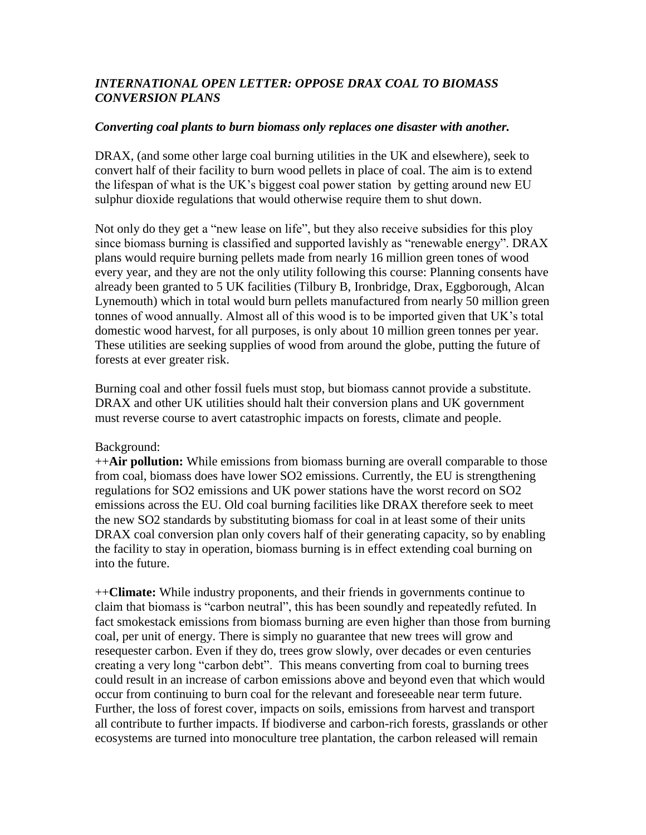## *INTERNATIONAL OPEN LETTER: OPPOSE DRAX COAL TO BIOMASS CONVERSION PLANS*

## *Converting coal plants to burn biomass only replaces one disaster with another.*

DRAX, (and some other large coal burning utilities in the UK and elsewhere), seek to convert half of their facility to burn wood pellets in place of coal. The aim is to extend the lifespan of what is the UK's biggest coal power station by getting around new EU sulphur dioxide regulations that would otherwise require them to shut down.

Not only do they get a "new lease on life", but they also receive subsidies for this ploy since biomass burning is classified and supported lavishly as "renewable energy". DRAX plans would require burning pellets made from nearly 16 million green tones of wood every year, and they are not the only utility following this course: Planning consents have already been granted to 5 UK facilities (Tilbury B, Ironbridge, Drax, Eggborough, Alcan Lynemouth) which in total would burn pellets manufactured from nearly 50 million green tonnes of wood annually. Almost all of this wood is to be imported given that UK's total domestic wood harvest, for all purposes, is only about 10 million green tonnes per year. These utilities are seeking supplies of wood from around the globe, putting the future of forests at ever greater risk.

Burning coal and other fossil fuels must stop, but biomass cannot provide a substitute. DRAX and other UK utilities should halt their conversion plans and UK government must reverse course to avert catastrophic impacts on forests, climate and people.

## Background:

++**Air pollution:** While emissions from biomass burning are overall comparable to those from coal, biomass does have lower SO2 emissions. Currently, the EU is strengthening regulations for SO2 emissions and UK power stations have the worst record on SO2 emissions across the EU. Old coal burning facilities like DRAX therefore seek to meet the new SO2 standards by substituting biomass for coal in at least some of their units DRAX coal conversion plan only covers half of their generating capacity, so by enabling the facility to stay in operation, biomass burning is in effect extending coal burning on into the future.

++**Climate:** While industry proponents, and their friends in governments continue to claim that biomass is "carbon neutral", this has been soundly and repeatedly refuted. In fact smokestack emissions from biomass burning are even higher than those from burning coal, per unit of energy. There is simply no guarantee that new trees will grow and resequester carbon. Even if they do, trees grow slowly, over decades or even centuries creating a very long "carbon debt". This means converting from coal to burning trees could result in an increase of carbon emissions above and beyond even that which would occur from continuing to burn coal for the relevant and foreseeable near term future. Further, the loss of forest cover, impacts on soils, emissions from harvest and transport all contribute to further impacts. If biodiverse and carbon-rich forests, grasslands or other ecosystems are turned into monoculture tree plantation, the carbon released will remain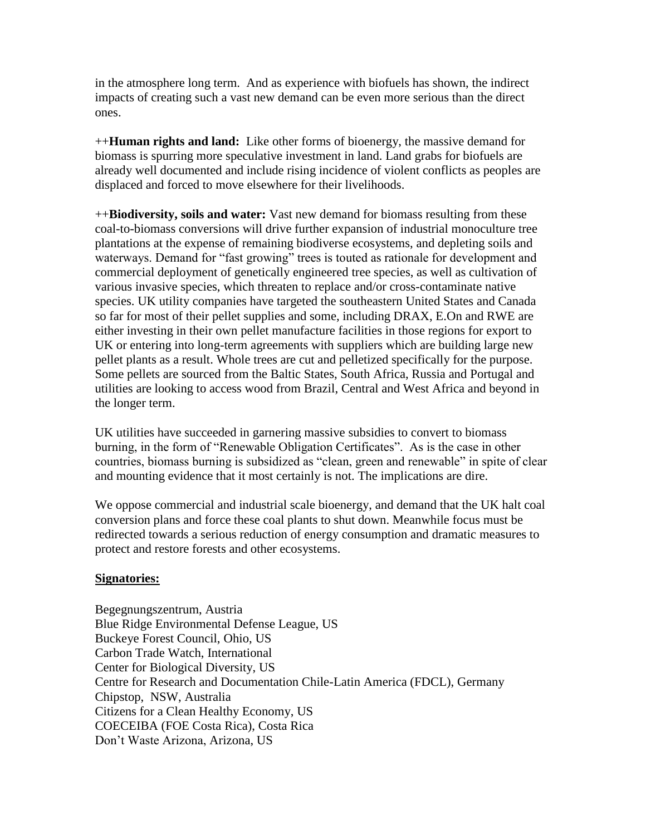in the atmosphere long term. And as experience with biofuels has shown, the indirect impacts of creating such a vast new demand can be even more serious than the direct ones.

++**Human rights and land:** Like other forms of bioenergy, the massive demand for biomass is spurring more speculative investment in land. Land grabs for biofuels are already well documented and include rising incidence of violent conflicts as peoples are displaced and forced to move elsewhere for their livelihoods.

++**Biodiversity, soils and water:** Vast new demand for biomass resulting from these coal-to-biomass conversions will drive further expansion of industrial monoculture tree plantations at the expense of remaining biodiverse ecosystems, and depleting soils and waterways. Demand for "fast growing" trees is touted as rationale for development and commercial deployment of genetically engineered tree species, as well as cultivation of various invasive species, which threaten to replace and/or cross-contaminate native species. UK utility companies have targeted the southeastern United States and Canada so far for most of their pellet supplies and some, including DRAX, E.On and RWE are either investing in their own pellet manufacture facilities in those regions for export to UK or entering into long-term agreements with suppliers which are building large new pellet plants as a result. Whole trees are cut and pelletized specifically for the purpose. Some pellets are sourced from the Baltic States, South Africa, Russia and Portugal and utilities are looking to access wood from Brazil, Central and West Africa and beyond in the longer term.

UK utilities have succeeded in garnering massive subsidies to convert to biomass burning, in the form of "Renewable Obligation Certificates". As is the case in other countries, biomass burning is subsidized as "clean, green and renewable" in spite of clear and mounting evidence that it most certainly is not. The implications are dire.

We oppose commercial and industrial scale bioenergy, and demand that the UK halt coal conversion plans and force these coal plants to shut down. Meanwhile focus must be redirected towards a serious reduction of energy consumption and dramatic measures to protect and restore forests and other ecosystems.

## **Signatories:**

Begegnungszentrum, Austria Blue Ridge Environmental Defense League, US Buckeye Forest Council, Ohio, US Carbon Trade Watch, International Center for Biological Diversity, US Centre for Research and Documentation Chile-Latin America (FDCL), Germany Chipstop, NSW, Australia Citizens for a Clean Healthy Economy, US COECEIBA (FOE Costa Rica), Costa Rica Don't Waste Arizona, Arizona, US